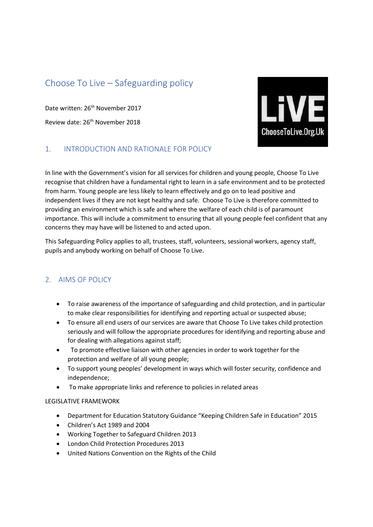# Choose To Live – Safeguarding policy

Date written: 26<sup>th</sup> November 2017

Review date: 26th November 2018



## 1. INTRODUCTION AND RATIONALE FOR POLICY

In line with the Government's vision for all services for children and young people, Choose To Live recognise that children have a fundamental right to learn in a safe environment and to be protected from harm. Young people are less likely to learn effectively and go on to lead positive and independent lives if they are not kept healthy and safe. Choose To Live is therefore committed to providing an environment which is safe and where the welfare of each child is of paramount importance. This will include a commitment to ensuring that all young people feel confident that any concerns they may have will be listened to and acted upon.

This Safeguarding Policy applies to all, trustees, staff, volunteers, sessional workers, agency staff, pupils and anybody working on behalf of Choose To Live.

### 2. AIMS OF POLICY

- To raise awareness of the importance of safeguarding and child protection, and in particular to make clear responsibilities for identifying and reporting actual or suspected abuse;
- To ensure all end users of our services are aware that Choose To Live takes child protection seriously and will follow the appropriate procedures for identifying and reporting abuse and for dealing with allegations against staff;
- To promote effective liaison with other agencies in order to work together for the protection and welfare of all young people;
- To support young peoples' development in ways which will foster security, confidence and independence;
- To make appropriate links and reference to policies in related areas

#### LEGISLATIVE FRAMEWORK

- Department for Education Statutory Guidance "Keeping Children Safe in Education" 2015
- Children's Act 1989 and 2004
- Working Together to Safeguard Children 2013
- London Child Protection Procedures 2013
- United Nations Convention on the Rights of the Child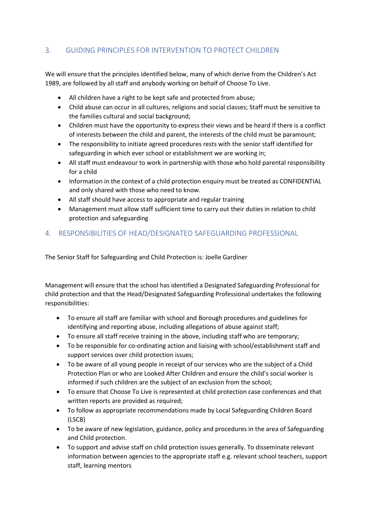### 3. GUIDING PRINCIPLES FOR INTERVENTION TO PROTECT CHILDREN

We will ensure that the principles identified below, many of which derive from the Children's Act 1989, are followed by all staff and anybody working on behalf of Choose To Live.

- All children have a right to be kept safe and protected from abuse;
- Child abuse can occur in all cultures, religions and social classes; Staff must be sensitive to the families cultural and social background;
- Children must have the opportunity to express their views and be heard If there is a conflict of interests between the child and parent, the interests of the child must be paramount;
- The responsibility to initiate agreed procedures rests with the senior staff identified for safeguarding in which ever school or establishment we are working in;
- All staff must endeavour to work in partnership with those who hold parental responsibility for a child
- Information in the context of a child protection enquiry must be treated as CONFIDENTIAL and only shared with those who need to know.
- All staff should have access to appropriate and regular training
- Management must allow staff sufficient time to carry out their duties in relation to child protection and safeguarding

### 4. RESPONSIBILITIES OF HEAD/DESIGNATED SAFEGUARDING PROFESSIONAL

The Senior Staff for Safeguarding and Child Protection is: Joelle Gardiner

Management will ensure that the school has identified a Designated Safeguarding Professional for child protection and that the Head/Designated Safeguarding Professional undertakes the following responsibilities:

- To ensure all staff are familiar with school and Borough procedures and guidelines for identifying and reporting abuse, including allegations of abuse against staff;
- To ensure all staff receive training in the above, including staff who are temporary;
- To be responsible for co-ordinating action and liaising with school/establishment staff and support services over child protection issues;
- To be aware of all young people in receipt of our services who are the subject of a Child Protection Plan or who are Looked After Children and ensure the child's social worker is informed if such children are the subject of an exclusion from the school;
- To ensure that Choose To Live is represented at child protection case conferences and that written reports are provided as required;
- To follow as appropriate recommendations made by Local Safeguarding Children Board (LSCB)
- To be aware of new legislation, guidance, policy and procedures in the area of Safeguarding and Child protection.
- To support and advise staff on child protection issues generally. To disseminate relevant information between agencies to the appropriate staff e.g. relevant school teachers, support staff, learning mentors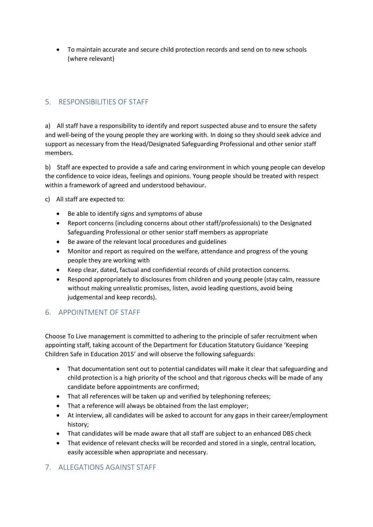• To maintain accurate and secure child protection records and send on to new schools (where relevant)

## 5. RESPONSIBILITIES OF STAFF

a) All staff have a responsibility to identify and report suspected abuse and to ensure the safety and well-being of the young people they are working with. In doing so they should seek advice and support as necessary from the Head/Designated Safeguarding Professional and other senior staff members.

b) Staff are expected to provide a safe and caring environment in which young people can develop the confidence to voice ideas, feelings and opinions. Young people should be treated with respect within a framework of agreed and understood behaviour.

c) All staff are expected to:

- Be able to identify signs and symptoms of abuse
- Report concerns (including concerns about other staff/professionals) to the Designated Safeguarding Professional or other senior staff members as appropriate
- Be aware of the relevant local procedures and guidelines
- Monitor and report as required on the welfare, attendance and progress of the young people they are working with
- Keep clear, dated, factual and confidential records of child protection concerns.
- Respond appropriately to disclosures from children and young people (stay calm, reassure without making unrealistic promises, listen, avoid leading questions, avoid being judgemental and keep records).

# 6. APPOINTMENT OF STAFF

Choose To Live management is committed to adhering to the principle of safer recruitment when appointing staff, taking account of the Department for Education Statutory Guidance 'Keeping Children Safe in Education 2015' and will observe the following safeguards:

- That documentation sent out to potential candidates will make it clear that safeguarding and child protection is a high priority of the school and that rigorous checks will be made of any candidate before appointments are confirmed;
- That all references will be taken up and verified by telephoning referees;
- That a reference will always be obtained from the last employer;
- At interview, all candidates will be asked to account for any gaps in their career/employment history;
- That candidates will be made aware that all staff are subject to an enhanced DBS check
- That evidence of relevant checks will be recorded and stored in a single, central location, easily accessible when appropriate and necessary.

### 7. ALLEGATIONS AGAINST STAFF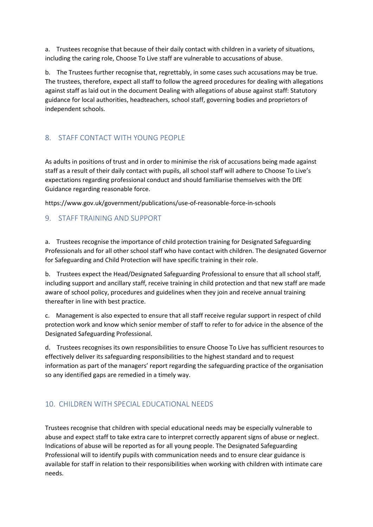a. Trustees recognise that because of their daily contact with children in a variety of situations, including the caring role, Choose To Live staff are vulnerable to accusations of abuse.

b. The Trustees further recognise that, regrettably, in some cases such accusations may be true. The trustees, therefore, expect all staff to follow the agreed procedures for dealing with allegations against staff as laid out in the document Dealing with allegations of abuse against staff: Statutory guidance for local authorities, headteachers, school staff, governing bodies and proprietors of independent schools.

## 8. STAFF CONTACT WITH YOUNG PEOPLE

As adults in positions of trust and in order to minimise the risk of accusations being made against staff as a result of their daily contact with pupils, all school staff will adhere to Choose To Live's expectations regarding professional conduct and should familiarise themselves with the DfE Guidance regarding reasonable force.

https://www.gov.uk/government/publications/use-of-reasonable-force-in-schools

### 9. STAFF TRAINING AND SUPPORT

a. Trustees recognise the importance of child protection training for Designated Safeguarding Professionals and for all other school staff who have contact with children. The designated Governor for Safeguarding and Child Protection will have specific training in their role.

b. Trustees expect the Head/Designated Safeguarding Professional to ensure that all school staff, including support and ancillary staff, receive training in child protection and that new staff are made aware of school policy, procedures and guidelines when they join and receive annual training thereafter in line with best practice.

c. Management is also expected to ensure that all staff receive regular support in respect of child protection work and know which senior member of staff to refer to for advice in the absence of the Designated Safeguarding Professional.

d. Trustees recognises its own responsibilities to ensure Choose To Live has sufficient resources to effectively deliver its safeguarding responsibilities to the highest standard and to request information as part of the managers' report regarding the safeguarding practice of the organisation so any identified gaps are remedied in a timely way.

### 10. CHILDREN WITH SPECIAL EDUCATIONAL NEEDS

Trustees recognise that children with special educational needs may be especially vulnerable to abuse and expect staff to take extra care to interpret correctly apparent signs of abuse or neglect. Indications of abuse will be reported as for all young people. The Designated Safeguarding Professional will to identify pupils with communication needs and to ensure clear guidance is available for staff in relation to their responsibilities when working with children with intimate care needs.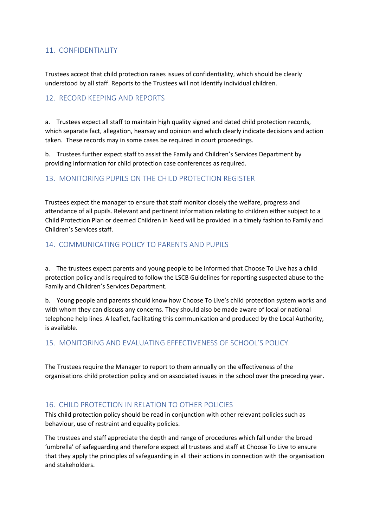### 11. CONFIDENTIALITY

Trustees accept that child protection raises issues of confidentiality, which should be clearly understood by all staff. Reports to the Trustees will not identify individual children.

#### 12. RECORD KEEPING AND REPORTS

a. Trustees expect all staff to maintain high quality signed and dated child protection records, which separate fact, allegation, hearsay and opinion and which clearly indicate decisions and action taken. These records may in some cases be required in court proceedings.

b. Trustees further expect staff to assist the Family and Children's Services Department by providing information for child protection case conferences as required.

#### 13. MONITORING PUPILS ON THE CHILD PROTECTION REGISTER

Trustees expect the manager to ensure that staff monitor closely the welfare, progress and attendance of all pupils. Relevant and pertinent information relating to children either subject to a Child Protection Plan or deemed Children in Need will be provided in a timely fashion to Family and Children's Services staff.

#### 14. COMMUNICATING POLICY TO PARENTS AND PUPILS

a. The trustees expect parents and young people to be informed that Choose To Live has a child protection policy and is required to follow the LSCB Guidelines for reporting suspected abuse to the Family and Children's Services Department.

b. Young people and parents should know how Choose To Live's child protection system works and with whom they can discuss any concerns. They should also be made aware of local or national telephone help lines. A leaflet, facilitating this communication and produced by the Local Authority, is available.

#### 15. MONITORING AND EVALUATING EFFECTIVENESS OF SCHOOL'S POLICY.

The Trustees require the Manager to report to them annually on the effectiveness of the organisations child protection policy and on associated issues in the school over the preceding year.

### 16. CHILD PROTECTION IN RELATION TO OTHER POLICIES

This child protection policy should be read in conjunction with other relevant policies such as behaviour, use of restraint and equality policies.

The trustees and staff appreciate the depth and range of procedures which fall under the broad 'umbrella' of safeguarding and therefore expect all trustees and staff at Choose To Live to ensure that they apply the principles of safeguarding in all their actions in connection with the organisation and stakeholders.